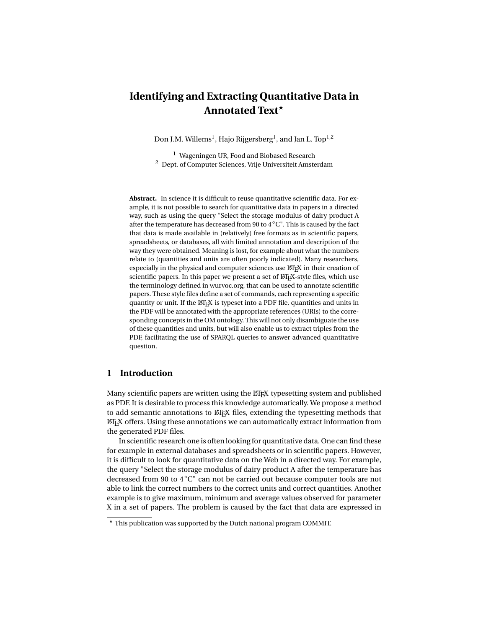# **Identifying and Extracting Quantitative Data in Annotated Text?**

Don J.M. Willems $^{\rm l}$ , Hajo Rijgersberg $^{\rm l}$ , and Jan L. Top $^{\rm l,2}$ 

<sup>1</sup> Wageningen UR, Food and Biobased Research  $2$  Dept. of Computer Sciences, Vrije Universiteit Amsterdam

**Abstract.** In science it is difficult to reuse quantitative scientific data. For example, it is not possible to search for quantitative data in papers in a directed way, such as using the query "Select the storage modulus of dairy product A after the temperature has decreased from 90 to 4◦[C"](http://www.wurvoc.org/vocabularies/om-1.8/degree_Celcius?type=unit). This is caused by the fact that data is made available in (relatively) free formats as in scientific papers, spreadsheets, or databases, all with limited annotation and description of the way they were obtained. Meaning is lost, for example about what the numbers relate to (quantities and units are often poorly indicated). Many researchers, especially in the physical and computer sciences use  $\mathbb{A}$ T<sub>E</sub>X in their creation of scientific papers. In this paper we present a set of LATEX-style files, which use the terminology defined in wurvoc.org, that can be used to annotate scientific papers. These style files define a set of commands, each representing a specific quantity or unit. If the LATEX is typeset into a PDF file, quantities and units in the PDF will be annotated with the appropriate references (URIs) to the corresponding concepts in the OM ontology. This will not only disambiguate the use of these quantities and units, but will also enable us to extract triples from the PDF, facilitating the use of SPARQL queries to answer advanced quantitative question.

# **1 Introduction**

Many scientific papers are written using the ET<sub>EX</sub> typesetting system and published as PDF. It is desirable to process this knowledge automatically. We propose a method to add semantic annotations to ETEX files, extending the typesetting methods that LATEX offers. Using these annotations we can automatically extract information from the generated PDF files.

In scientific research one is often looking for quantitative data. One can find these for example in external databases and spreadsheets or in scientific papers. However, it is difficult to look for quantitative data on the Web in a directed way. For example, the query "Select the storage modulus of dairy product A after the temperature has decreased from 90 to 4◦[C"](http://www.wurvoc.org/vocabularies/om-1.8/degree_Celcius?type=unit) can not be carried out because computer tools are not able to link the correct numbers to the correct units and correct quantities. Another example is to give maximum, minimum and average values observed for parameter X in a set of papers. The problem is caused by the fact that data are expressed in

<sup>?</sup> This publication was supported by the Dutch national program COMMIT.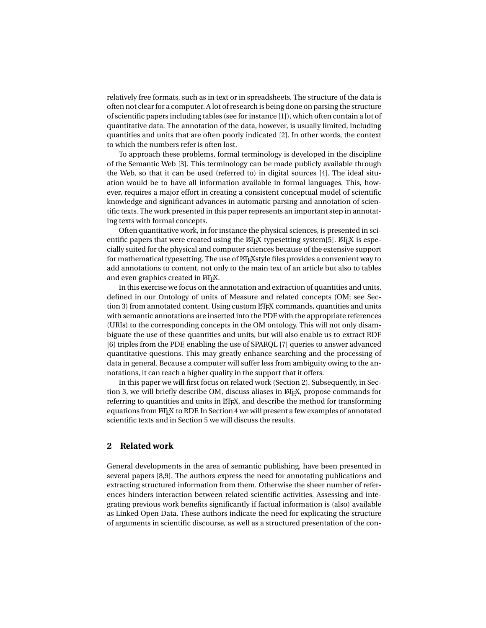relatively free formats, such as in text or in spreadsheets. The structure of the data is often not clear for a computer. A lot of research is being done on parsing the structure of scientific papers including tables (see for instance [\[1\]](#page-10-0)), which often contain a lot of quantitative data. The annotation of the data, however, is usually limited, including quantities and units that are often poorly indicated [\[2\]](#page-11-0). In other words, the context to which the numbers refer is often lost.

To approach these problems, formal terminology is developed in the discipline of the Semantic Web [\[3\]](#page-11-1). This terminology can be made publicly available through the Web, so that it can be used (referred to) in digital sources [\[4\]](#page-11-2). The ideal situation would be to have all information available in formal languages. This, however, requires a major effort in creating a consistent conceptual model of scientific knowledge and significant advances in automatic parsing and annotation of scientific texts. The work presented in this paper represents an important step in annotating texts with formal concepts.

Often quantitative work, in for instance the physical sciences, is presented in scientific papers that were created using the  $\mathbb{M}$ <sub>F</sub>X typesetting system[\[5\]](#page-11-3).  $\mathbb{M}$ <sub>F</sub>X is especially suited for the physical and computer sciences because of the extensive support for mathematical typesetting. The use of ET<sub>E</sub>X<sub>S</sub>tyle files provides a convenient way to add annotations to content, not only to the main text of an article but also to tables and even graphics created in LTFX.

In this exercise we focus on the annotation and extraction of quantities and units, defined in our Ontology of units of Measure and related concepts (OM; see Sec-tion [3\)](#page-2-0) from annotated content. Using custom LATEX commands, quantities and units with semantic annotations are inserted into the PDF with the appropriate references (URIs) to the corresponding concepts in the OM ontology. This will not only disambiguate the use of these quantities and units, but will also enable us to extract RDF [\[6\]](#page-11-4) triples from the PDF, enabling the use of SPARQL [\[7\]](#page-11-5) queries to answer advanced quantitative questions. This may greatly enhance searching and the processing of data in general. Because a computer will suffer less from ambiguity owing to the annotations, it can reach a higher quality in the support that it offers.

In this paper we will first focus on related work (Section [2\)](#page-1-0). Subsequently, in Sec-tion [3,](#page-2-0) we will briefly describe OM, discuss aliases in ETEX, propose commands for referring to quantities and units in  $\mathbb{M}$ <sub>F</sub>X, and describe the method for transforming equations from LATEX to RDF. In Section [4](#page-7-0) we will present a few examples of annotated scientific texts and in Section [5](#page-9-0) we will discuss the results.

## <span id="page-1-0"></span>**2 Related work**

General developments in the area of semantic publishing, have been presented in several papers [\[8,](#page-11-6)[9\]](#page-11-7). The authors express the need for annotating publications and extracting structured information from them. Otherwise the sheer number of references hinders interaction between related scientific activities. Assessing and integrating previous work benefits significantly if factual information is (also) available as Linked Open Data. These authors indicate the need for explicating the structure of arguments in scientific discourse, as well as a structured presentation of the con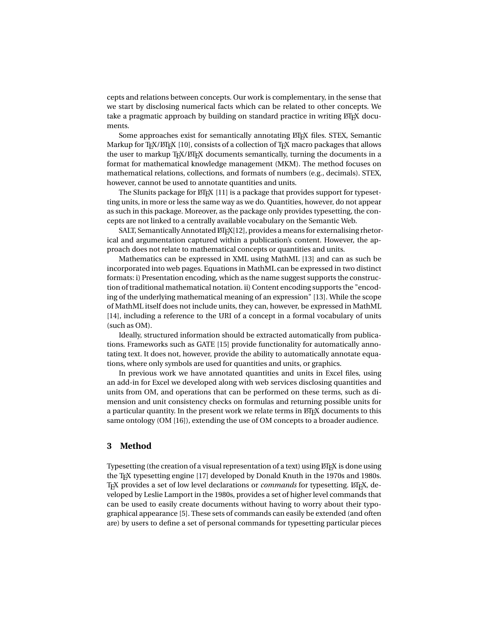cepts and relations between concepts. Our work is complementary, in the sense that we start by disclosing numerical facts which can be related to other concepts. We take a pragmatic approach by building on standard practice in writing  $\mathbb{E} \mathbb{E} \mathbb{E} \mathbb{E}$  documents.

Some approaches exist for semantically annotating LTFX files. STEX, Semantic Markup for  $T_FX/ET_FX$  [\[10\]](#page-11-8), consists of a collection of  $T_FX$  macro packages that allows the user to markup  $T_F X / E T_F X$  documents semantically, turning the documents in a format for mathematical knowledge management (MKM). The method focuses on mathematical relations, collections, and formats of numbers (e.g., decimals). STEX, however, cannot be used to annotate quantities and units.

The SIunits package for LATEX [\[11\]](#page-11-9) is a package that provides support for typesetting units, in more or less the same way as we do. Quantities, however, do not appear as such in this package. Moreover, as the package only provides typesetting, the concepts are not linked to a centrally available vocabulary on the Semantic Web.

SALT, Semantically Annotated LTEX[\[12\]](#page-11-10), provides a means for externalising rhetorical and argumentation captured within a publication's content. However, the approach does not relate to mathematical concepts or quantities and units.

Mathematics can be expressed in XML using MathML [\[13\]](#page-11-11) and can as such be incorporated into web pages. Equations in MathML can be expressed in two distinct formats: i) Presentation encoding, which as the name suggest supports the construction of traditional mathematical notation. ii) Content encoding supports the "encoding of the underlying mathematical meaning of an expression" [\[13\]](#page-11-11). While the scope of MathML itself does not include units, they can, however, be expressed in MathML [\[14\]](#page-11-12), including a reference to the URI of a concept in a formal vocabulary of units (such as OM).

Ideally, structured information should be extracted automatically from publications. Frameworks such as GATE [\[15\]](#page-11-13) provide functionality for automatically annotating text. It does not, however, provide the ability to automatically annotate equations, where only symbols are used for quantities and units, or graphics.

In previous work we have annotated quantities and units in Excel files, using an add-in for Excel we developed along with web services disclosing quantities and units from OM, and operations that can be performed on these terms, such as dimension and unit consistency checks on formulas and returning possible units for a particular quantity. In the present work we relate terms in ETEX documents to this same ontology (OM [\[16\]](#page-11-14)), extending the use of OM concepts to a broader audience.

# <span id="page-2-0"></span>**3 Method**

Typesetting (the creation of a visual representation of a text) using  $\mathbb{E} F$ <sub>E</sub>X is done using the T<sub>E</sub>X typesetting engine [\[17\]](#page-11-15) developed by Donald Knuth in the 1970s and 1980s. T<sub>EX</sub> provides a set of low level declarations or *commands* for typesetting. LATEX, developed by Leslie Lamport in the 1980s, provides a set of higher level commands that can be used to easily create documents without having to worry about their typographical appearance [\[5\]](#page-11-3). These sets of commands can easily be extended (and often are) by users to define a set of personal commands for typesetting particular pieces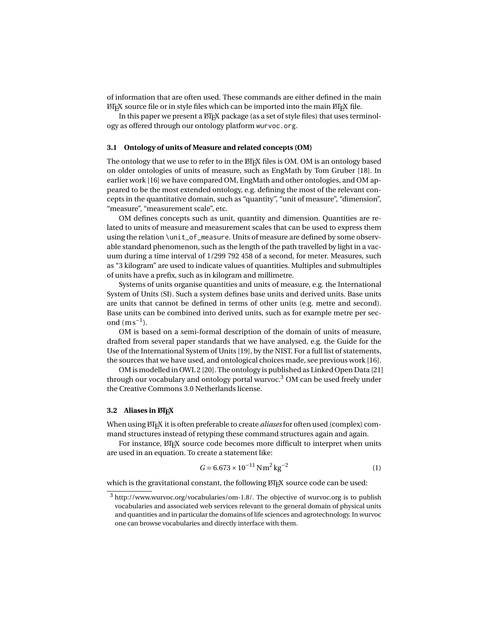of information that are often used. These commands are either defined in the main  $\Delta E$ <sub>EX</sub> source file or in style files which can be imported into the main  $\Delta E$ <sub>EX</sub> file.

In this paper we present a ETEX package (as a set of style files) that uses terminology as offered through our ontology platform wurvoc.org.

#### **3.1 Ontology of units of Measure and related concepts (OM)**

The ontology that we use to refer to in the LATEX files is OM. OM is an ontology based on older ontologies of units of measure, such as EngMath by Tom Gruber [\[18\]](#page-11-16). In earlier work [\[16\]](#page-11-14) we have compared OM, EngMath and other ontologies, and OM appeared to be the most extended ontology, e.g. defining the most of the relevant concepts in the quantitative domain, such as "quantity", "unit of measure", "dimension", "measure", "measurement scale", etc.

OM defines concepts such as unit, quantity and dimension. Quantities are related to units of measure and measurement scales that can be used to express them using the relation \unit\_of\_measure. Units of measure are defined by some observable standard phenomenon, such as the length of the path travelled by light in a vacuum during a time interval of 1/299 792 458 of a second, for meter. Measures, such as "3 kilogram" are used to indicate values of quantities. Multiples and submultiples of units have a prefix, such as in kilogram and millimetre.

Systems of units organise quantities and units of measure, e.g. the International System of Units (SI). Such a system defines base units and derived units. Base units are units that cannot be defined in terms of other units (e.g. metre and second). Base units can be combined into derived units, such as for example metre per second  $(ms^{-1})$  $(ms^{-1})$ .

OM is based on a semi-formal description of the domain of units of measure, drafted from several paper standards that we have analysed, e.g. the Guide for the Use of the International System of Units [\[19\]](#page-11-17), by the NIST. For a full list of statements, the sources that we have used, and ontological choices made, see previous work [\[16\]](#page-11-14).

OM is modelled in OWL 2 [\[20\]](#page-11-18). The ontology is published as Linked Open Data [\[21\]](#page-11-19) through our vocabulary and ontology portal wurvoc.<sup>[3](#page-3-0)</sup> OM can be used freely under the Creative Commons 3.0 Netherlands license.

### **3.2 Aliases in LATEX**

When using  $\mathbb{E} \mathbb{F}$  it is often preferable to create *aliases* for often used (complex) command structures instead of retyping these command structures again and again.

For instance,  $\text{ETr}X$  source code becomes more difficult to interpret when units are used in an equation. To create a statement like:

<span id="page-3-1"></span>
$$
G = 6.673 \times 10^{-11} \,\mathrm{N} \,\mathrm{m}^2 \,\mathrm{kg}^{-2} \tag{1}
$$

which is the gravitational constant, the following LTFX source code can be used:

<span id="page-3-0"></span><sup>3</sup> http://www.wurvoc.org/vocabularies/om-1.8/. The objective of wurvoc.org is to publish vocabularies and associated web services relevant to the general domain of physical units and quantities and in particular the domains of life sciences and agrotechnology. In wurvoc one can browse vocabularies and directly interface with them.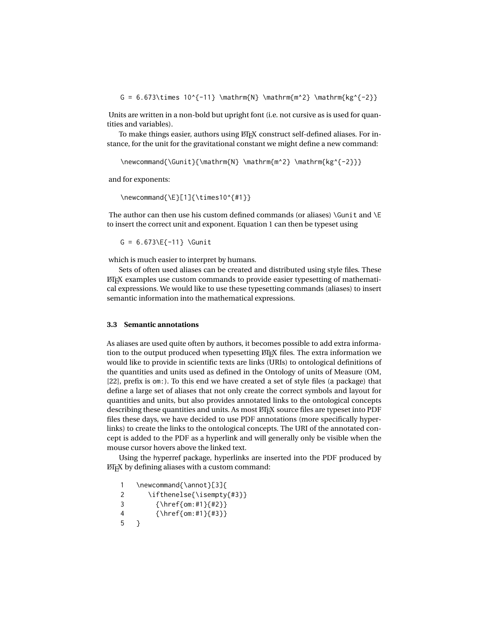G = 6.673\times 10^{-11} \mathrm{N} \mathrm{m^2} \mathrm{kg^{-2}}

Units are written in a non-bold but upright font (i.e. not cursive as is used for quantities and variables).

To make things easier, authors using LTFX construct self-defined aliases. For instance, for the unit for the gravitational constant we might define a new command:

```
\newcommand{\Gunit}{\mathrm{N} \mathrm{m^2} \mathrm{kg^{-2}}}
```
and for exponents:

\newcommand{\E}[1]{\times10^{#1}}

The author can then use his custom defined commands (or aliases) \Gunit and \E to insert the correct unit and exponent. Equation [1](#page-3-1) can then be typeset using

 $G = 6.673\E{-11}$  \Gunit

which is much easier to interpret by humans.

Sets of often used aliases can be created and distributed using style files. These LATEX examples use custom commands to provide easier typesetting of mathematical expressions. We would like to use these typesetting commands (aliases) to insert semantic information into the mathematical expressions.

#### **3.3 Semantic annotations**

As aliases are used quite often by authors, it becomes possible to add extra information to the output produced when typesetting LTEX files. The extra information we would like to provide in scientific texts are links (URIs) to ontological definitions of the quantities and units used as defined in the Ontology of units of Measure (OM, [\[22\]](#page-11-20), prefix is om:). To this end we have created a set of style files (a package) that define a large set of aliases that not only create the correct symbols and layout for quantities and units, but also provides annotated links to the ontological concepts describing these quantities and units. As most ETEX source files are typeset into PDF files these days, we have decided to use PDF annotations (more specifically hyperlinks) to create the links to the ontological concepts. The URI of the annotated concept is added to the PDF as a hyperlink and will generally only be visible when the mouse cursor hovers above the linked text.

Using the hyperref package, hyperlinks are inserted into the PDF produced by LATEX by defining aliases with a custom command:

1 \newcommand{\annot}[3]{ 2 \ifthenelse{\isempty{#3}} 3 {\href{om:#1}{#2}} 4 {\href{om:#1}{#3}} 5 }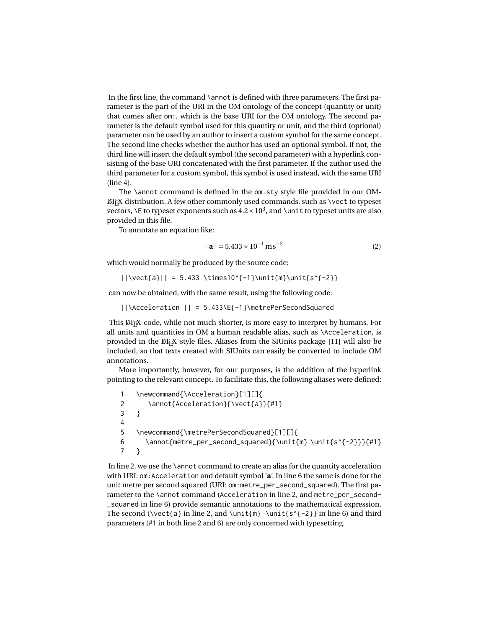In the first line, the command \annot is defined with three parameters. The first parameter is the part of the URI in the OM ontology of the concept (quantity or unit) that comes after om:, which is the base URI for the OM ontology. The second parameter is the default symbol used for this quantity or unit, and the third (optional) parameter can be used by an author to insert a custom symbol for the same concept. The second line checks whether the author has used an optional symbol. If not, the third line will insert the default symbol (the second parameter) with a hyperlink consisting of the base URI concatenated with the first parameter. If the author used the third parameter for a custom symbol, this symbol is used instead, with the same URI (line 4).

The \annot command is defined in the om.sty style file provided in our OM- $EFT<sub>F</sub>X$  distribution. A few other commonly used commands, such as  $\vee$ ect to typeset vectors, \E to typeset exponents such as 4.2 ×  $10^3$  $10^3$ , and \unit to typeset units are also provided in this file.

To annotate an equation like:

$$
||\mathbf{a}|| = 5.433 \times 10^{-1} \,\mathrm{m}\,\mathrm{s}^{-2} \tag{2}
$$

which would normally be produced by the source code:

 $|\{\vector{a}\}\| = 5.433 \times 10^{-1}\unit{m}\unit{s^{-2}}$ 

can now be obtained, with the same result, using the following code:

||\Acceleration || = 5.433\E{-1}\metrePerSecondSquared

This LATEX code, while not much shorter, is more easy to interpret by humans. For all units and quantities in OM a human readable alias, such as \Acceleration, is provided in the LATEX style files. Aliases from the SIUnits package [\[11\]](#page-11-9) will also be included, so that texts created with SIUnits can easily be converted to include OM annotations.

More importantly, however, for our purposes, is the addition of the hyperlink pointing to the relevant concept. To facilitate this, the following aliases were defined:

1 \newcommand{\Acceleration}[1][]{ 2 \annot{Acceleration}{\vect{a}}{#1} 3 } 4 5 \newcommand{\metrePerSecondSquared}[1][]{ 6 \annot{metre\_per\_second\_squared}{\unit{m} \unit{s^{-2}}}{#1} 7 }

In line 2, we use the \annot command to create an alias for the quantity acceleration with URI: om:Acceleration and default symbol '**[a](http://www.wurvoc.org/vocabularies/om-1.8/Acceleration?type=quantity)**'. In line 6 the same is done for the unit metre per second squared (URI: om:metre\_per\_second\_squared). The first parameter to the \annot command (Acceleration in line 2, and metre\_per\_second-\_squared in line 6) provide semantic annotations to the mathematical expression. The second (\vect{a} in line 2, and \unit{m} \unit{s^{-2}} in line 6) and third parameters (#1 in both line 2 and 6) are only concerned with typesetting.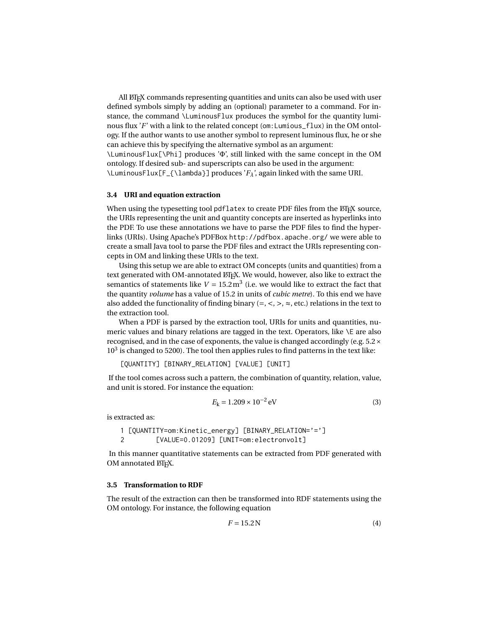All LATEX commands representing quantities and units can also be used with user defined symbols simply by adding an (optional) parameter to a command. For instance, the command \LuminousFlux produces the symbol for the quantity luminous flux '*[F](http://www.wurvoc.org/vocabularies/om-1.8/Luminous_flux?type=quantity)*' with a link to the related concept (om:Lumious\_flux) in the OM ontology. If the author wants to use another symbol to represent luminous flux, he or she can achieve this by specifying the alternative symbol as an argument: \LuminousFlux[\Phi] produces '[Φ](http://www.wurvoc.org/vocabularies/om-1.8/Luminous_flux?type=quantity)', still linked with the same concept in the OM ontology. If desired sub- and superscripts can also be used in the argument: \LuminousFlux[F\_{\lambda}] produces '*[F](http://www.wurvoc.org/vocabularies/om-1.8/Luminous_flux?type=quantity)λ*', again linked with the same URI.

#### **3.4 URI and equation extraction**

When using the typesetting tool pdflatex to create PDF files from the LATEX source, the URIs representing the unit and quantity concepts are inserted as hyperlinks into the PDF. To use these annotations we have to parse the PDF files to find the hyperlinks (URIs). Using Apache's PDFBox <http://pdfbox.apache.org/> we were able to create a small Java tool to parse the PDF files and extract the URIs representing concepts in OM and linking these URIs to the text.

Using this setup we are able to extract OM concepts (units and quantities) from a text generated with OM-annotated LTEX. We would, however, also like to extract the semantics of statements like  $V = 15.2 \text{m}^3$  $V = 15.2 \text{m}^3$  (i.e. we would like to extract the fact that the quantity *volume* has a value of 15.2 in units of *cubic metre*). To this end we have also added the functionality of finding binary (=,  $\lt$ ,  $\gt$ ,  $\approx$ , etc.) relations in the text to the extraction tool.

When a PDF is parsed by the extraction tool, URIs for units and quantities, numeric values and binary relations are tagged in the text. Operators, like \E are also recognised, and in the case of exponents, the value is changed accordingly (e.g.  $5.2 \times$  $10<sup>3</sup>$  $10<sup>3</sup>$  is changed to 5200). The tool then applies rules to find patterns in the text like:

[QUANTITY] [BINARY\_RELATION] [VALUE] [UNIT]

If the tool comes across such a pattern, the combination of quantity, relation, value, and unit is stored. For instance the equation:

$$
E_{\rm k} = 1.209 \times 10^{-2} \,\text{eV} \tag{3}
$$

is extracted as:

1 [QUANTITY=om:Kinetic\_energy] [BINARY\_RELATION='='] 2 [VALUE=0.01209] [UNIT=om:electronvolt]

In this manner quantitative statements can be extracted from PDF generated with OM annotated LATEX.

#### **3.5 Transformation to RDF**

The result of the extraction can then be transformed into RDF statements using the OM ontology. For instance, the following equation

<span id="page-6-0"></span>
$$
F = 15.2 \,\mathrm{N} \tag{4}
$$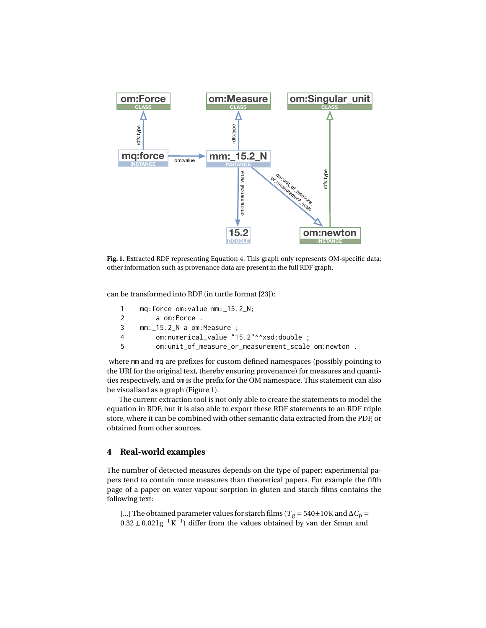

<span id="page-7-1"></span>Fig. 1. Extracted RDF representing Equation [4.](#page-6-0) This graph only represents OM-specific data; other information such as provenance data are present in the full RDF graph.

can be transformed into RDF (in turtle format [\[23\]](#page-11-21)):

| $\mathbf{1}$ | $mg:$ force om: value $mm:$ $15.2$ $N:$             |
|--------------|-----------------------------------------------------|
| $2^{\circ}$  | a om:Force .                                        |
| 3            | $mm:$ $15.2$ N a om:Measure ;                       |
| 4            | om:numerical_value "15.2"^^xsd:double :             |
| .5           | om:unit_of_measure_or_measurement_scale om:newton . |

where mm and mq are prefixes for custom defined namespaces (possibly pointing to the URI for the original text, thereby ensuring provenance) for measures and quantities respectively, and om is the prefix for the OM namespace. This statement can also be visualised as a graph (Figure [1\)](#page-7-1).

The current extraction tool is not only able to create the statements to model the equation in RDF, but it is also able to export these RDF statements to an RDF triple store, where it can be combined with other semantic data extracted from the PDF, or obtained from other sources.

#### <span id="page-7-0"></span>**4 Real-world examples**

The number of detected measures depends on the type of paper; experimental papers tend to contain more measures than theoretical papers. For example the fifth page of a paper on water vapour sorption in gluten and starch films contains the following text:

[...] [T](http://www.wurvoc.org/vocabularies/om-1.8/Temperature?type=quantity)he obtained parameter values for starch films ( $T_g = 540 \pm 10$  K and  $\Delta C_p =$  $0.32 \pm 0.02 \text{g}^{-1} \text{K}^{-1}$ ) differ from the values obtained by van der Sman and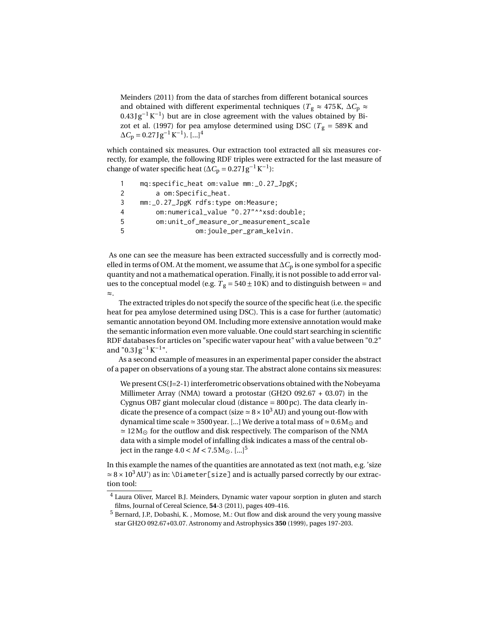Meinders (2011) from the data of starches from different botanical sources and obtained with different experimental techniques ( $T_g \approx 475$  $T_g \approx 475$ K,  $\Delta C_p \approx$  $0.43 \text{Jg}^{-1} \text{K}^{-1}$ ) but are in close agreement with the values obtained by Bizot et al. (1997) for pea amylose determined using DSC ( $T_g$  $T_g$  = 58[9K](http://www.wurvoc.org/vocabularies/om-1.8/kelvin?type=unit) and  $\Delta C_p = 0.27 \text{ J g}^{-1} \text{K}^{-1}$ ). [...]<sup>[4](#page-8-0)</sup>

which contained six measures. Our extraction tool extracted all six measures correctly, for example, the following RDF triples were extracted for the last measure of change of water specific heat ( $\Delta C_p = 0.27$  J g<sup>-1</sup> K<sup>-1</sup>):

1 mq:specific\_heat om:value mm:\_0.27\_JpgK; 2 a om:Specific\_heat. 3 mm:\_0.27\_JpgK rdfs:type om:Measure; 4 om:numerical\_value "0.27"^^xsd:double; 5 om:unit\_of\_measure\_or\_measurement\_scale 5 om:joule\_per\_gram\_kelvin.

As one can see the measure has been extracted successfully and is correctly modelled in terms of OM. At the moment, we assume that  $\Delta C_p$  is one symbol for a specific quantity and not a mathematical operation. Finally, it is not possible to add error values to the conceptual model (e.g.  $T_g = 540 \pm 10$  $T_g = 540 \pm 10$  K) and to distinguish between = and ≈.

The extracted triples do not specify the source of the specific heat (i.e. the specific heat for pea amylose determined using DSC). This is a case for further (automatic) semantic annotation beyond OM. Including more extensive annotation would make the semantic information even more valuable. One could start searching in scientific RDF databases for articles on "specific water vapour heat" with a value between "0.2" and "0.3 J  $g^{-1}K^{-1}$ ".

As a second example of measures in an experimental paper consider the abstract of a paper on observations of a young star. The abstract alone contains six measures:

We present CS(J=2-1) interferometric observations obtained with the Nobeyama Millimeter Array (NMA) toward a protostar (GH2O 092.67 + 03.07) in the Cygnus OB7 giant molecular cloud [\(distance](http://www.wurvoc.org/vocabularies/om-1.8/Distance?type=quantity)  $= 800 \,\text{pc}$ ). The data clearly in-dicate the presence of a compact [\(size](http://www.wurvoc.org/vocabularies/om-1.8/Diameter?type=quantity)  $\simeq 8 \times 10^3$  $\simeq 8 \times 10^3$  $\simeq 8 \times 10^3$  [AU\)](http://www.wurvoc.org/vocabularies/om-1.8/astronomical_unit?type=unit) and young out-flow with [dynamical time scale](http://www.wurvoc.org/vocabularies/om-1.8/Time?type=quantity)  $\simeq$  350[0 year.](http://www.wurvoc.org/vocabularies/om-1.8/year?type=unit) [...] We derive a [total mass](http://www.wurvoc.org/vocabularies/om-1.8/Mass?type=quantity) of  $\simeq$  0.[6M](http://www.wurvoc.org/vocabularies/om-1.8/?type=unit) $_{\odot}$  and  $\simeq 12\,\rm M_\odot$  for the outflow and disk respectively. The comparison of the NMA data with a simple model of infalling disk indicates a mass of the central object in the range  $4.0 < M < 7.5 M_{\odot}$  $4.0 < M < 7.5 M_{\odot}$  $4.0 < M < 7.5 M_{\odot}$  $4.0 < M < 7.5 M_{\odot}$  $4.0 < M < 7.5 M_{\odot}$ . [...]<sup>5</sup>

In this example the names of the quantities are annotated as text (not math, e.g. ['size](http://www.wurvoc.org/vocabularies/om-1.8/Diameter?type=quantity)  $\simeq$  8 × [10](http://www.wurvoc.org/vocabularies/om-1.8/operators/exponent?power=3)<sup>3</sup> [AU'](http://www.wurvoc.org/vocabularies/om-1.8/astronomical_unit?type=unit)) as in: \Diameter[size] and is actually parsed correctly by our extraction tool:

<span id="page-8-0"></span><sup>4</sup> Laura Oliver, Marcel B.J. Meinders, Dynamic water vapour sorption in gluten and starch films, Journal of Cereal Science, **54**-3 (2011), pages 409-416.

<span id="page-8-1"></span><sup>5</sup> Bernard, J.P., Dobashi, K. , Momose, M.: Out flow and disk around the very young massive star GH2O 092.67+03.07. Astronomy and Astrophysics **350** (1999), pages 197-203.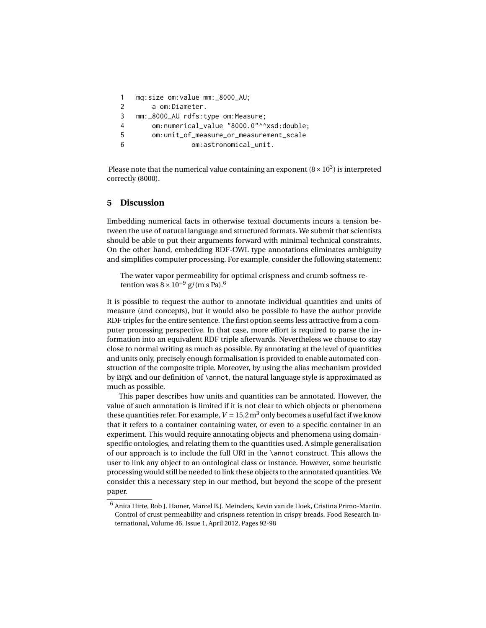```
1 mq:size om:value mm:_8000_AU;
2 a om:Diameter.
3 mm:_8000_AU rdfs:type om:Measure;
4 om:numerical_value "8000.0"^^xsd:double;
5 om:unit_of_measure_or_measurement_scale
6 om:astronomical_unit.
```
Please note that the numerical value containing an exponent ( $8 \times 10^3$  $8 \times 10^3$  $8 \times 10^3$ ) is interpreted correctly (8000).

## <span id="page-9-0"></span>**5 Discussion**

Embedding numerical facts in otherwise textual documents incurs a tension between the use of natural language and structured formats. We submit that scientists should be able to put their arguments forward with minimal technical constraints. On the other hand, embedding RDF-OWL type annotations eliminates ambiguity and simplifies computer processing. For example, consider the following statement:

The water vapor permeability for optimal crispness and crumb softness retention was  $8 \times 10^{-9}$  $8 \times 10^{-9}$  $8 \times 10^{-9}$  g/(m s Pa).<sup>[6](#page-9-1)</sup>

It is possible to request the author to annotate individual quantities and units of measure (and concepts), but it would also be possible to have the author provide RDF triples for the entire sentence. The first option seems less attractive from a computer processing perspective. In that case, more effort is required to parse the information into an equivalent RDF triple afterwards. Nevertheless we choose to stay close to normal writing as much as possible. By annotating at the level of quantities and units only, precisely enough formalisation is provided to enable automated construction of the composite triple. Moreover, by using the alias mechanism provided by  $\cancel{E}$ F<sub>K</sub> and our definition of \annot, the natural language style is approximated as much as possible.

This paper describes how units and quantities can be annotated. However, the value of such annotation is limited if it is not clear to which objects or phenomena these quantities refer. For example,  $V = 15.2 \text{ m}^3$  $V = 15.2 \text{ m}^3$  only becomes a useful fact if we know that it refers to a container containing water, or even to a specific container in an experiment. This would require annotating objects and phenomena using domainspecific ontologies, and relating them to the quantities used. A simple generalisation of our approach is to include the full URI in the \annot construct. This allows the user to link any object to an ontological class or instance. However, some heuristic processing would still be needed to link these objects to the annotated quantities. We consider this a necessary step in our method, but beyond the scope of the present paper.

<span id="page-9-1"></span> $^6$ Anita Hirte, Rob J. Hamer, Marcel B.J. Meinders, Kevin van de Hoek, Cristina Primo-Martín. Control of crust permeability and crispness retention in crispy breads. Food Research International, Volume 46, Issue 1, April 2012, Pages 92-98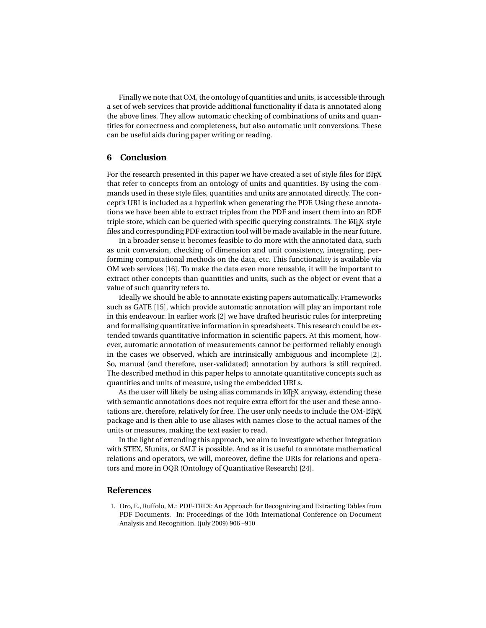Finally we note that OM, the ontology of quantities and units, is accessible through a set of web services that provide additional functionality if data is annotated along the above lines. They allow automatic checking of combinations of units and quantities for correctness and completeness, but also automatic unit conversions. These can be useful aids during paper writing or reading.

# **6 Conclusion**

For the research presented in this paper we have created a set of style files for LTFX that refer to concepts from an ontology of units and quantities. By using the commands used in these style files, quantities and units are annotated directly. The concept's URI is included as a hyperlink when generating the PDF. Using these annotations we have been able to extract triples from the PDF and insert them into an RDF triple store, which can be queried with specific querying constraints. The LATEX style files and corresponding PDF extraction tool will be made available in the near future.

In a broader sense it becomes feasible to do more with the annotated data, such as unit conversion, checking of dimension and unit consistency, integrating, performing computational methods on the data, etc. This functionality is available via OM web services [\[16\]](#page-11-14). To make the data even more reusable, it will be important to extract other concepts than quantities and units, such as the object or event that a value of such quantity refers to.

Ideally we should be able to annotate existing papers automatically. Frameworks such as GATE [\[15\]](#page-11-13), which provide automatic annotation will play an important role in this endeavour. In earlier work [\[2\]](#page-11-0) we have drafted heuristic rules for interpreting and formalising quantitative information in spreadsheets. This research could be extended towards quantitative information in scientific papers. At this moment, however, automatic annotation of measurements cannot be performed reliably enough in the cases we observed, which are intrinsically ambiguous and incomplete [\[2\]](#page-11-0). So, manual (and therefore, user-validated) annotation by authors is still required. The described method in this paper helps to annotate quantitative concepts such as quantities and units of measure, using the embedded URLs.

As the user will likely be using alias commands in ETEX anyway, extending these with semantic annotations does not require extra effort for the user and these annotations are, therefore, relatively for free. The user only needs to include the OM-ETEX package and is then able to use aliases with names close to the actual names of the units or measures, making the text easier to read.

In the light of extending this approach, we aim to investigate whether integration with STEX, SIunits, or SALT is possible. And as it is useful to annotate mathematical relations and operators, we will, moreover, define the URIs for relations and operators and more in OQR (Ontology of Quantitative Research) [\[24\]](#page-11-22).

## **References**

<span id="page-10-0"></span>1. Oro, E., Ruffolo, M.: PDF-TREX: An Approach for Recognizing and Extracting Tables from PDF Documents. In: Proceedings of the 10th International Conference on Document Analysis and Recognition. (july 2009) 906 –910